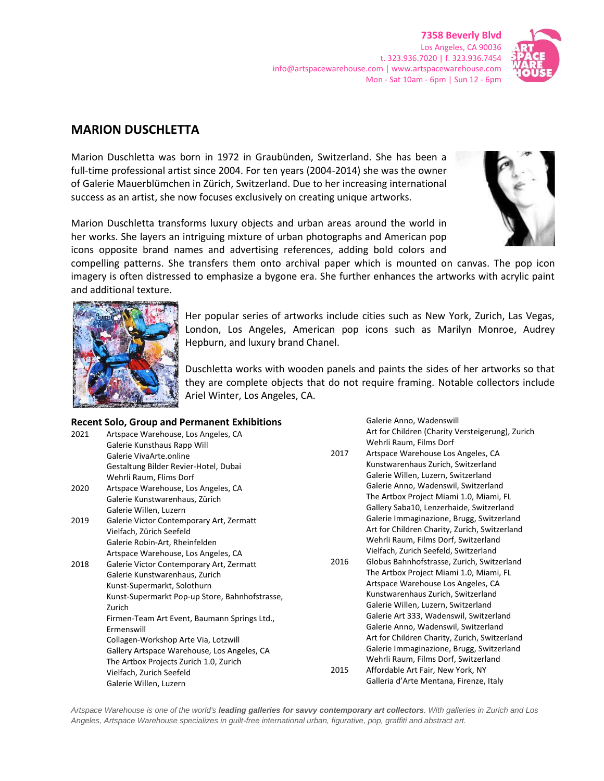**7358 Beverly Blvd** Los Angeles, CA 90036 t. 323.936.7020 | f. 323.936.7454 info@artspacewarehouse.com | www.artspacewarehouse.com Mon - Sat 10am - 6pm | Sun 12 - 6pm



## **MARION DUSCHLETTA**

Marion Duschletta was born in 1972 in Graubünden, Switzerland. She has been a full-time professional artist since 2004. For ten years (2004-2014) she was the owner of Galerie Mauerblümchen in Zürich, Switzerland. Due to her increasing international success as an artist, she now focuses exclusively on creating unique artworks.

Marion Duschletta transforms luxury objects and urban areas around the world in her works. She layers an intriguing mixture of urban photographs and American pop icons opposite brand names and advertising references, adding bold colors and

compelling patterns. She transfers them onto archival paper which is mounted on canvas. The pop icon imagery is often distressed to emphasize a bygone era. She further enhances the artworks with acrylic paint and additional texture.



Her popular series of artworks include cities such as New York, Zurich, Las Vegas, London, Los Angeles, American pop icons such as Marilyn Monroe, Audrey Hepburn, and luxury brand Chanel.

Duschletta works with wooden panels and paints the sides of her artworks so that they are complete objects that do not require framing. Notable collectors include Ariel Winter, Los Angeles, CA.

## **Recent Solo, Group and Permanent Exhibitions**

| 2021 | Artspace Warehouse, Los Angeles, CA            |  |
|------|------------------------------------------------|--|
|      | Galerie Kunsthaus Rapp Will                    |  |
|      | Galerie VivaArte.online                        |  |
|      | Gestaltung Bilder Revier-Hotel, Dubai          |  |
|      | Wehrli Raum, Flims Dorf                        |  |
| 2020 | Artspace Warehouse, Los Angeles, CA            |  |
|      | Galerie Kunstwarenhaus, Zürich                 |  |
|      | Galerie Willen, Luzern                         |  |
| 2019 | Galerie Victor Contemporary Art, Zermatt       |  |
|      | Vielfach, Zürich Seefeld                       |  |
|      | Galerie Robin-Art, Rheinfelden                 |  |
|      | Artspace Warehouse, Los Angeles, CA            |  |
| 2018 | Galerie Victor Contemporary Art, Zermatt       |  |
|      | Galerie Kunstwarenhaus, Zurich                 |  |
|      | Kunst-Supermarkt, Solothurn                    |  |
|      | Kunst-Supermarkt Pop-up Store, Bahnhofstrasse, |  |
|      | Zurich                                         |  |
|      | Firmen-Team Art Event, Baumann Springs Ltd.,   |  |
|      | Ermenswill                                     |  |
|      | Collagen-Workshop Arte Via, Lotzwill           |  |
|      | Gallery Artspace Warehouse, Los Angeles, CA    |  |
|      | The Artbox Projects Zurich 1.0, Zurich         |  |
|      | Vielfach, Zurich Seefeld                       |  |
|      | Galerie Willen, Luzern                         |  |

Galerie Anno, Wadenswill Art for Children (Charity Versteigerung), Zurich Wehrli Raum, Films Dorf

- 2017 Artspace Warehouse Los Angeles, CA Kunstwarenhaus Zurich, Switzerland Galerie Willen, Luzern, Switzerland Galerie Anno, Wadenswil, Switzerland The Artbox Project Miami 1.0, Miami, FL Gallery Saba10, Lenzerhaide, Switzerland Galerie Immaginazione, Brugg, Switzerland Art for Children Charity, Zurich, Switzerland Wehrli Raum, Films Dorf, Switzerland Vielfach, Zurich Seefeld, Switzerland
- 2016 Globus Bahnhofstrasse, Zurich, Switzerland The Artbox Project Miami 1.0, Miami, FL Artspace Warehouse Los Angeles, CA Kunstwarenhaus Zurich, Switzerland Galerie Willen, Luzern, Switzerland Galerie Art 333, Wadenswil, Switzerland Galerie Anno, Wadenswil, Switzerland Art for Children Charity, Zurich, Switzerland Galerie Immaginazione, Brugg, Switzerland Wehrli Raum, Films Dorf, Switzerland 2015 Affordable Art Fair, New York, NY

Galleria d'Arte Mentana, Firenze, Italy

*Artspace Warehouse is one of the world's leading galleries for savvy contemporary art collectors. With galleries in Zurich and Los Angeles, Artspace Warehouse specializes in guilt-free international urban, figurative, pop, graffiti and abstract art.*